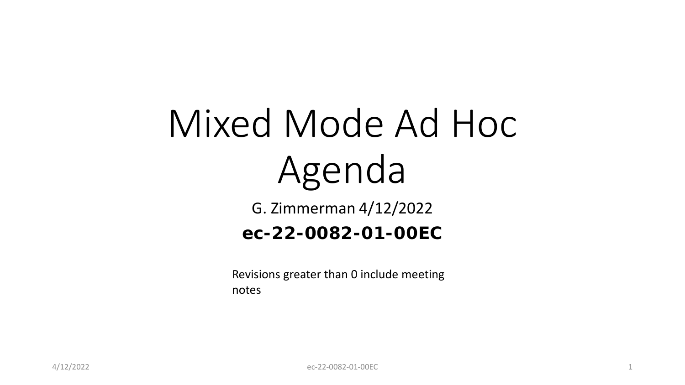# Mixed Mode Ad Hoc Agenda

G. Zimmerman 4/12/2022

#### **ec-22-0082-01-00EC**

Revisions greater than 0 include meeting notes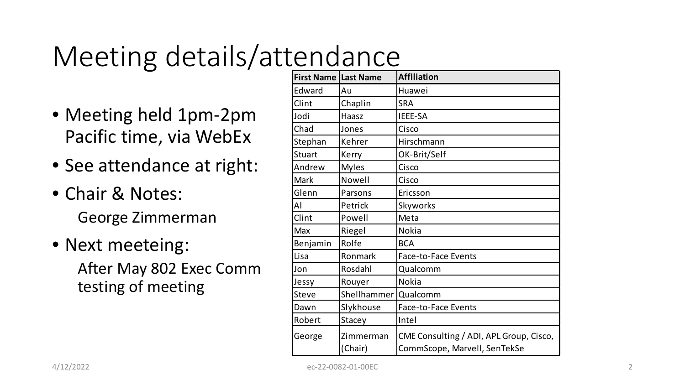# Meeting details/attendance

- Meeting held 1pm-2pm Pacific time, via WebEx
- See attendance at right:
- Chair & Notes: George Zimmerman
- Next meeteing: After May 802 Exec Comm testing of meeting

| <b>First Name Last Name</b> |                      | <b>Affiliation</b>                                                      |
|-----------------------------|----------------------|-------------------------------------------------------------------------|
| Edward                      | Au                   | Huawei                                                                  |
| Clint                       | Chaplin              | <b>SRA</b>                                                              |
| Jodi                        | Haasz                | IEEE-SA                                                                 |
| Chad                        | Jones                | Cisco                                                                   |
| Stephan                     | Kehrer               | Hirschmann                                                              |
| <b>Stuart</b>               | Kerry                | OK-Brit/Self                                                            |
| Andrew                      | <b>Myles</b>         | Cisco                                                                   |
| Mark                        | Nowell               | Cisco                                                                   |
| Glenn                       | Parsons              | Ericsson                                                                |
| Al                          | Petrick              | Skyworks                                                                |
| Clint                       | Powell               | Meta                                                                    |
| Max                         | Riegel               | <b>Nokia</b>                                                            |
| Benjamin                    | Rolfe                | <b>BCA</b>                                                              |
| Lisa                        | Ronmark              | Face-to-Face Events                                                     |
| Jon                         | Rosdahl              | Qualcomm                                                                |
| Jessy                       | Rouyer               | <b>Nokia</b>                                                            |
| <b>Steve</b>                | Shellhammer          | Qualcomm                                                                |
| Dawn                        | Slykhouse            | Face-to-Face Events                                                     |
| Robert                      | Stacey               | Intel                                                                   |
| George                      | Zimmerman<br>(Chair) | CME Consulting / ADI, APL Group, Cisco,<br>CommScope, Marvell, SenTekSe |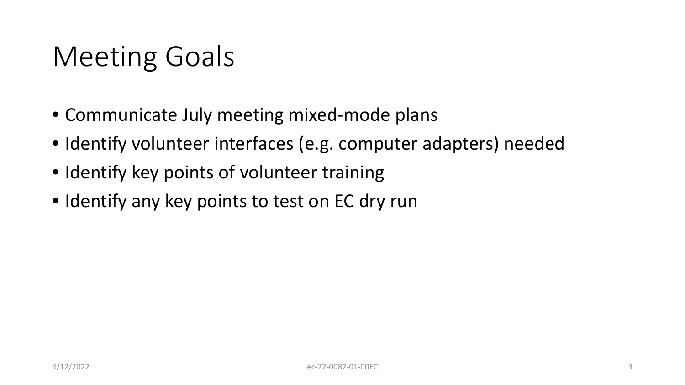# Meeting Goals

- Communicate July meeting mixed-mode plans
- Identify volunteer interfaces (e.g. computer adapters) needed
- Identify key points of volunteer training
- Identify any key points to test on EC dry run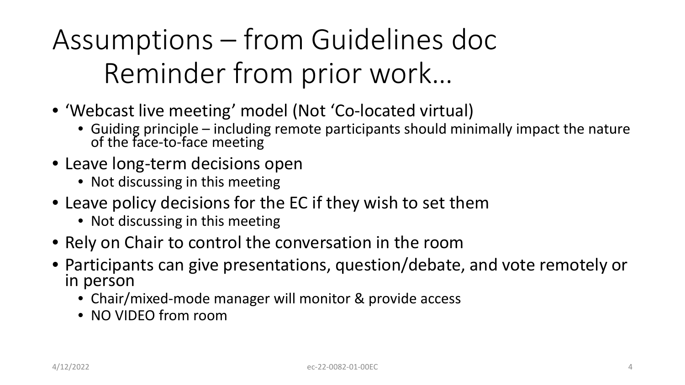Assumptions – from Guidelines doc Reminder from prior work…

- 'Webcast live meeting' model (Not 'Co-located virtual)
	- Guiding principle including remote participants should minimally impact the nature of the face-to-face meeting
- Leave long-term decisions open
	- Not discussing in this meeting
- Leave policy decisions for the EC if they wish to set them
	- Not discussing in this meeting
- Rely on Chair to control the conversation in the room
- Participants can give presentations, question/debate, and vote remotely or in person
	- Chair/mixed-mode manager will monitor & provide access
	- NO VIDEO from room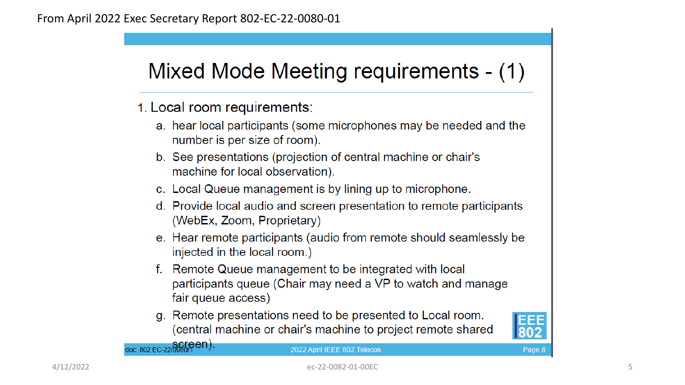### Mixed Mode Meeting requirements - (1)

- 1. Local room requirements:
	- a. hear local participants (some microphones may be needed and the number is per size of room).
	- b. See presentations (projection of central machine or chair's machine for local observation).
	- c. Local Queue management is by lining up to microphone.
	- d. Provide local audio and screen presentation to remote participants (WebEx, Zoom, Proprietary)
	- e. Hear remote participants (audio from remote should seamlessly be injected in the local room.)
	- f. Remote Queue management to be integrated with local participants queue (Chair may need a VP to watch and manage fair queue access)
	- g. Remote presentations need to be presented to Local room. (central machine or chair's machine to project remote shared



Page 8

doc: 802 EC-22/0080rPen).

#### 2022 April IEEE 802 Telecon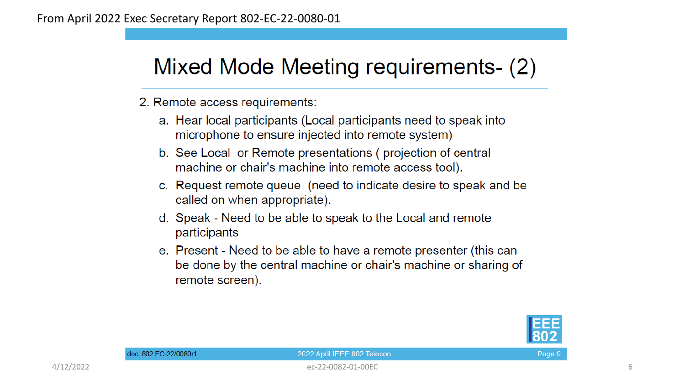### Mixed Mode Meeting requirements- (2)

2. Remote access requirements:

- a. Hear local participants (Local participants need to speak into microphone to ensure injected into remote system)
- b. See Local or Remote presentations (projection of central machine or chair's machine into remote access tool).
- c. Request remote queue (need to indicate desire to speak and be called on when appropriate).
- d. Speak Need to be able to speak to the Local and remote participants
- e. Present Need to be able to have a remote presenter (this can be done by the central machine or chair's machine or sharing of remote screen).



#### 2022 April IEEE 802 Telecon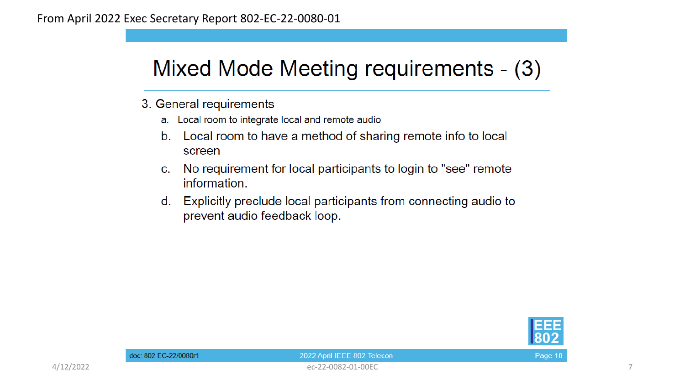### Mixed Mode Meeting requirements - (3)

- 3. General requirements
	- a. Local room to integrate local and remote audio
	- $b<sub>1</sub>$ Local room to have a method of sharing remote info to local screen
	- No requirement for local participants to login to "see" remote  $C<sub>1</sub>$ information.
	- Explicitly preclude local participants from connecting audio to d. prevent audio feedback loop.



Page 10

4/12/2022 ec-22-0082-01-00EC 7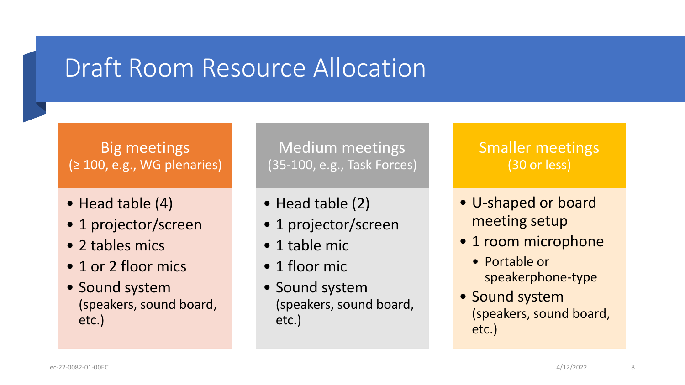### Draft Room Resource Allocation

#### Big meetings (≥ 100, e.g., WG plenaries)

- Head table (4)
- 1 projector/screen
- 2 tables mics
- 1 or 2 floor mics
- Sound system (speakers, sound board, etc.)

Medium meetings (35-100, e.g., Task Forces)

- Head table (2)
- 1 projector/screen
- 1 table mic
- 1 floor mic
- Sound system (speakers, sound board, etc.)

#### Smaller meetings (30 or less)

- U-shaped or board meeting setup
- 1 room microphone
	- Portable or speakerphone-type
- Sound system (speakers, sound board, etc.)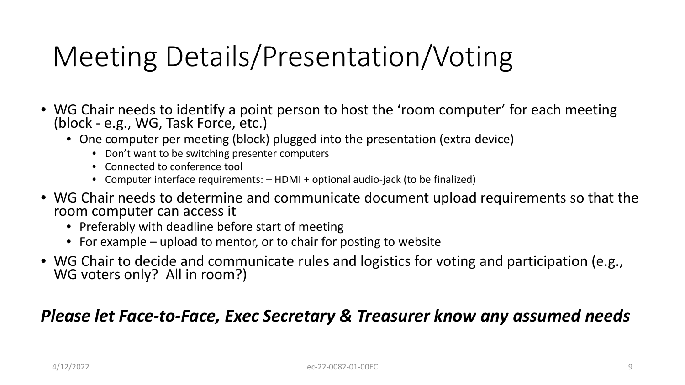# Meeting Details/Presentation/Voting

- WG Chair needs to identify a point person to host the 'room computer' for each meeting (block - e.g., WG, Task Force, etc.)
	- One computer per meeting (block) plugged into the presentation (extra device)
		- Don't want to be switching presenter computers
		- Connected to conference tool
		- Computer interface requirements: HDMI + optional audio-jack (to be finalized)
- WG Chair needs to determine and communicate document upload requirements so that the room computer can access it
	- Preferably with deadline before start of meeting
	- For example upload to mentor, or to chair for posting to website
- WG Chair to decide and communicate rules and logistics for voting and participation (e.g., WG voters only? All in room?)

#### *Please let Face-to-Face, Exec Secretary & Treasurer know any assumed needs*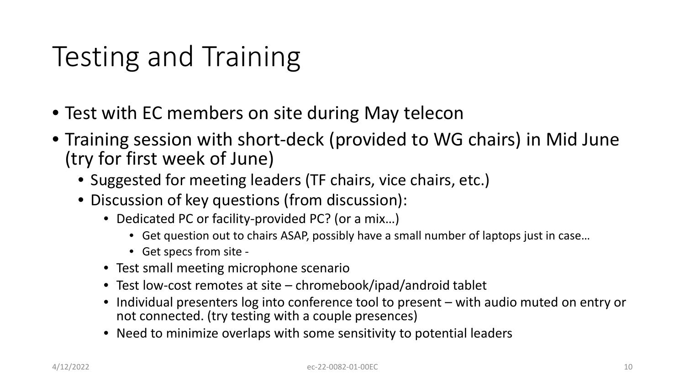# Testing and Training

- Test with EC members on site during May telecon
- Training session with short-deck (provided to WG chairs) in Mid June (try for first week of June)
	- Suggested for meeting leaders (TF chairs, vice chairs, etc.)
	- Discussion of key questions (from discussion):
		- Dedicated PC or facility-provided PC? (or a mix...)
			- Get question out to chairs ASAP, possibly have a small number of laptops just in case…
			- Get specs from site -
		- Test small meeting microphone scenario
		- Test low-cost remotes at site chromebook/ipad/android tablet
		- Individual presenters log into conference tool to present with audio muted on entry or not connected. (try testing with a couple presences)
		- Need to minimize overlaps with some sensitivity to potential leaders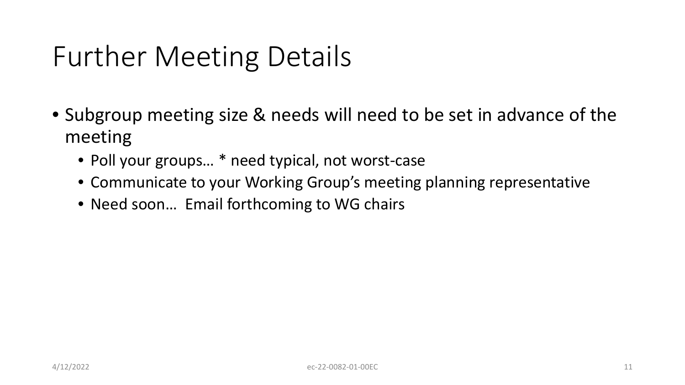# Further Meeting Details

- Subgroup meeting size & needs will need to be set in advance of the meeting
	- Poll your groups... \* need typical, not worst-case
	- Communicate to your Working Group's meeting planning representative
	- Need soon... Email forthcoming to WG chairs